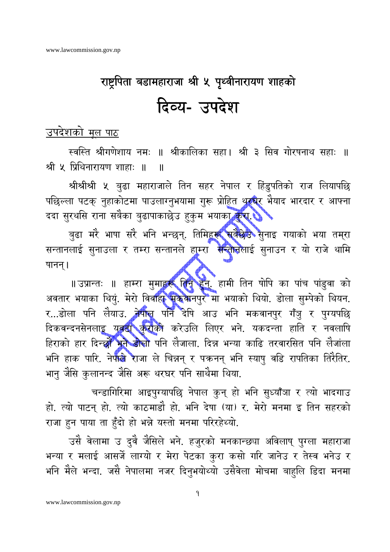## राष्ट्रपिता बडामहाराजा श्री ५ पृथ्वीनारायण शाहको दिव्य- उपदेश

## उपदेशको मूल पाठ

स्वस्ति श्रीगणेशाय नमः ॥ श्रीकालिका सहा। श्री ३ सिव गोरषनाथ सहाः ॥ श्री ५ प्रिथिनारायण शाहाः ॥  $\mathbf{I}$ 

श्रीश्रीश्री ५ बुढा महाराजाले तिन सहर नेपाल र हिंडुपतिको राज लियापछि पछिल्ला पटक् नुहाकोटमा पाउलाग्नुभयामा गुरू प्रोहित थर**घर** भैयाद भारदार र आफ्ना ददा सुरथसि राना सबैका बुढापाकाछेउ हुकुम भयाका कुरा है

बुढा मरे भाषा सरे भनि भन्छन्. तिमिह**रू सुवैछेउ** सुनाइ गयाको भया तम्रा सन्तानलाई सुनाउला र तम्रा सन्तानले हाम्रा सन्तानलाई सुनाउन र यो राजे थामि षानन् ।

॥ उप्रान्तः ॥ हाम्रा मुमाहरू <mark>तिन् हुन्</mark>. हामी तिन षोपि का पांच पांडुवा को अवतार भयाका थियुं. मेरो विवाहा पुकेवानपुर मा भयाको थियो. डोला सुम्पेको थियन. र...डोला पनि लैयाउ. तेपील पनि देषि आउ भनि मकवानपुर गँजु र पुग्यपछि दिकवन्दनसेनला<u>इ युवद्य कुर</u>ाको करेउलि लिएर भने. यकदन्ता हाति र नवलाषि हिराको हार दिन्छो भूने डोलो पनि लेजाला. दिन्न भन्या काढि तरवारसित पनि लेजांला भनि हाक पारि. नेपाले राजा ले चिन्नन् र पकनन् भनि स्याषु वडि रापतिका तिरैतिर. भानु जैसि कुलानन्द जैसि अरू थरघर पनि साथैमा थिया.

चन्डागिरिमा आइपुग्यापछि नेपाल कुन् हो भनि सुध्याँञा र त्यो भादगाउ हो. त्यो पाटन् हो. त्यो काठमाडौ हो. भनि देषा (या) र. मेरो मनमा इ तिन सहरको राजा हुन पाया ता हुँदो हो भन्ने यस्तो मनमा परिरहेथ्यो.

उसै वेलामा उ दुवै जैसिले भने. हजुरको मनकान्छ्या अविलाष् पुग्ला महाराजा भन्या र मलाई आसर्जे लाग्यो र मेरा पेटका कुरा कसो गरि जानेउ र तेस्व भनेउ र भनि मैले भन्दा. जसै नेपालमा नजर दिनुभयोथ्यो उसैवेला मोचमा बाहुलि डिदा मनमा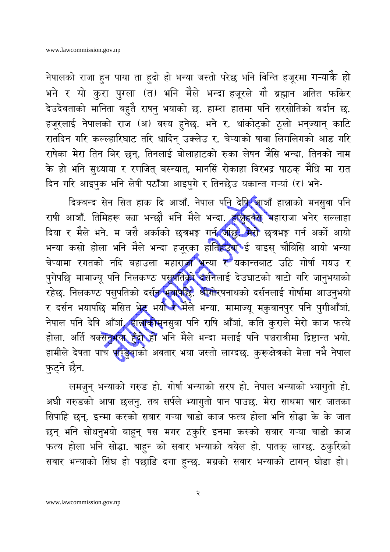नेपालको राजा हुन पाया ता हुदो हो भन्या जस्तो परेछ भनि विन्ति हजूरमा गऱ्याकै हो भने र यो कुरा पुग्ला (त) भनि मैले भन्दा हजूरले गौ ब्रह्मान अतित फकिर देउदेवताको मानिता बहुतै राषनु भयाको छ. हाम्रा हातमा पनि सरसोतिको बर्दान छ. हजूरलाई नेपालको राज (अ) वस्य हुनेछ. भने र. थांकोट्को ठूलो भन्ज्यान् काटि रातदिन गरि कल्ल्हारिघाट तरि धादिंन् उक्लेउ र. चेप्याको षावा लिगलिगको आड गरि राषेका मेरा तिन बिर छन्. तिनलाई बोलाहाटको रुका लेषन जैसि भन्दा. तिनको नाम के हो भनि सुध्याया र रणजित् बस्न्यात्. मानसिं रोकाहा विरभद्र पाठक् मैधि मा रात दिन गरि आइपुक भनि लेषी पठाँजा आइपुगे र तिनछेउ यकान्त गऱ्यां (र) भने-

दिक्बन्द सेन सित हाक दि आजाँ. नेपाल प<u>नि</u> देषि आजाँ हान्नाको मनसुवा पनि राषी आजाँ. तिमिहरू क्या भन्छौ भनि मैले भन्दा. हाक्ने**इवैसे म**हाराजा भनेर सल्लाहा दिया र मैले भने. म जसै अर्काको छत्रभङ्ग गर्न जांछु<sup>, के</sup>रो छत्रभङ्ग गर्न अर्को आयो भन्या कसो होला भनि मैले भन्दा हजूरका ह<mark>ातिहर</mark>ूच**े**ई बाइस् चौबिसि आयो भन्या चेप्यामा रगतको नदि बहाउला महाराज्ञा भन्या र यकान्तबाट उठि गोर्षा गयउ र पुगेपछि मामाज्यू पनि निलकण्ठ पसुपतिको वसनैलाई देउघाटको बाटो गरि जानुभयाको रहेछ. निलकण्ठ पसुपतिको दर्सन भयापछि: श्रीगोरषनाथको दर्सनलाई गोर्षामा आउनुभयो र दर्सन भयापछि मसित भेट्ट भयो रे मैले भन्या. मामाज्यू मकुवानपुर पनि पुगीआँजां. नेपाल पनि देषि आँजां, हान्नाकोसूनसुवा पनि राषि आँजां. कति कुराले मेरो काज फत्ये होला. अर्ति बक्सनुभया हुँद्दी हो भनि मैले भन्दा मलाई पनि पञ्चरात्रीमा द्रिष्टान्त भयो. हामीले देषता पाच पाण्डुवाको अवतार भया जस्तो लाग्दछ. कुरूक्षेत्रको मेला नभै नेपाल फ़ुट्ने छैन.

लमजुन् भन्याको गरुड हो. गोर्षा भन्याको सरप हो. नेपाल भन्याको भ्यागुतो हो. अघी गरुडको आषा छुलनु. तब सर्पले भ्यागुतो षान पाउछ. मेरा साथमा चार जातका सिपाहि छन्. इन्मा कस्को सबार गऱ्या चाडो काज फत्य होला भनि सोद्धा के के जात छन् भनि सोधनुभयो बाहुन् षस मगर ठकुरि इनमा कस्को सवार गऱ्या चाडो काज फत्य होला भनि सोद्धा. बाहुन को सवार भन्याको बयेल हो. पातक् लाग्छ. ठकुरिको सवार भन्याको सिंघ हो पछाडि दगा हुन्छ. मग्रको सवार भन्याको टागन् घोडा हो।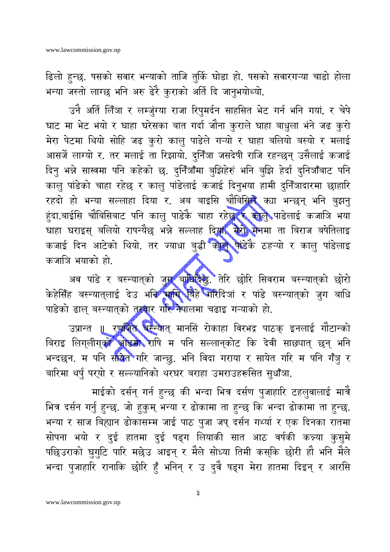ढिलो हुन्छ. षसको सवार भन्याको ताजि तुर्कि घोडा हो. षसको सवारगऱ्या चाडो होला भन्या जस्तो लाग्छ भनि अरु ढेरै कुराको अर्ति दि जानुभयोथ्यो.

उनै अर्ति लिँञा र लम्ज़ुंग्या राजा रिपुमर्दन साहसित भेट गर्न भनि गयां, र चेपे घाट मा भेट भयो र घाहा घरेसका बात गर्दा जौना कुराले घाहा बाधुला भंने जढ कुरो मेरा पेटमा थियो सोहि जढ कुरो कालु पाडेले गऱ्यो र घाहा बलियो बस्यो र मलाई आसर्जे लाग्यो र. तर मलाई ता रिझायो. दुनिँञा जसदेषी राजि रहन्छन् उसैलाई कजाई दिनु भन्ने सास्त्रमा पनि कहेको छ. दुनिँँऔँमा बुझिहेरुं भनि बुझि हेर्दा दुनिजाँबाट पनि कालु पांडेको चाहा रहेछ र कालु पांडेलाई कजाई दिनुभया हामी दुनिँजादारमा छाहारि रहदो हो भन्या सल्लाहा दिया र. अब बाइसि चौबिसि**ले** क्या भन्छन् भनि बुझनु हंदा.बाईसि चौबिसिबाट पनि कालु पाडेकै चाहा रहेछुर्दै कोलु पाडेलाई कजाजि भया घाहा घराइस् बलियो राषन्यैछ भन्ने सल्लाह दिया, मेर<mark>ो म</mark>ेनमा ता बिराज बषेतिलाइ कजाई दिन आटेको थियो. तर ज्याधा बुद्धी कोल**े पांडेके ठहऱ्यो र कालु पांडेला**इ कजाजि भयाको हो.

अव पांडे र बस्न्यातको जुगा बाधिदिछु. तेरि छोरि सिवराम बस्न्यात्को छोरो<br>केहेसिँह बस्न्यात्लाई देउ भ<del>नि सा</del>गि बिहे जोरैदिंञां र पांडे बस्न्यात्को जुग बाधि पाडेको ढाल् बस्न्यात्को तुरबार गरि नेपालमा चढाइ गऱ्याको हो.

उप्रान्त ॥ रण**जित बस्न्यात् मानसिं रोकाहा विरभद्र पाठक् इनलाई गौटान्को** बिराइ लिग्लीग्को अंडिमी राषि म पनि सल्लान्कोट कि देवी साछ्यात् छन् भनि भन्दछन. म पनि स<mark>ायेत</mark>े गरि जान्छु. भनि विदा गराया र सायेत गरि म पनि गँजु र बारिमा थर्पु पर्यो र सल्ल्यानिको थरघर बराहा उमराउहरूसित सुधाँजा.

माईको दर्सन् गर्न हुन्छ की भन्दा भित्र दर्सण पुजाहारि टहलुवालाई मात्रै भित्र दर्सन गर्नु हुन्छ. जो हुकुम् भन्या र ढोकामा ता हुन्छ कि भन्दा ढोकामा ता हुन्छ. भन्या र साज बिह्यान ढोकासम्म जाई पाठ पुजा जप् दर्सन गर्थ्या र एक दिनका रातमा सोपना भयो र दुई हातमा दुई षड्ग लियाकी सात आठ वर्षकी कन्न्या कुसुमे पछिउराको घुगुटि पारि मछेउ आइन् र मैले सोध्या तिमी कस्कि छोरी हौ भनि मैले भन्दा पुजाहारि रानाकि छोरि हुँ भनिन् र उ दुवै षड्ग मेरा हातमा दिइन् र आरसि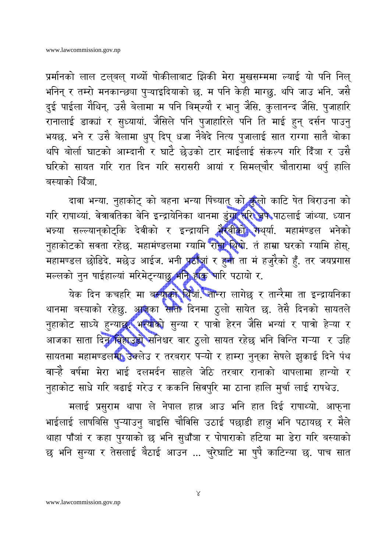प्रर्मानको लाल टल्बल् गर्थ्यो षोकीलाबाट झिकी मेरा मुखसम्ममा ल्याई यो पनि निल् भनिन् र तम्रो मनकान्छ्या पुऱ्याइदियाको छ. म पनि केही माग्छु. थपि जाउ भनि. जसै दुई पाईला गैथिन्. उसै बेलामा म पनि बिम्ज्यौ र भानु जैसि. कुलानन्द जैसि. पुजाहारि रानालाई डाक्यां र सुध्यायां. जैसिले पनि पुजाहारिले पनि ति माई हुन् दर्सन पाउनु भयछ. भने र उसै बेलामा धुप् दिप् धजा नैबेदे नित्य पुजालाई सात राग्गा सातै बोका थपि बोर्ला घाटको आम्दानी र घाटै छेउको टार माईलाई संकल्प गरि दिँञा र उसै घरिको सायत गरि रात दिन गरि सरासरी आयां र सिमल्चौर चौतारामा थर्पु हालि बस्याको थिँञा

दावा भन्या. नुहाकोट् को बहना भन्या पिंच्यात् को कुलो काटि पेत बिराउना को गरि राषाथ्यां. वेत्रावतिका वेनि इन्द्रायेनिका थानमा डुंगा त्रिरेजिफे पाठलाई जांथ्या. ध्यान भन्न्या सल्ल्यान्कोट्कि देवीको र इन्द्रायनि भेरवीको गथ्या. महामंण्डल भनेको नुहाकोटको सवता रहेछ. महामंण्डलमा ग्यामि रा<mark>मा थि</mark>यो. तं हाम्रा घरको ग्यामि होस्. महामण्डल छोडिदे. मछेउ आईज. भनी प्रहालां र हुनी ता मं हजुरैको हुँ. तर जयप्रगास मल्लको नुन षाईहाल्यां मरिमेट्न्याछ भनि होक भारि पठायो र.

येक दिन कचहरि मा बस्याको थिंजा तान्रा लागेछ र तान्रैमा ता इन्द्रायनिका थानमा बस्याको रहेछु. अ**जि**का साती दिनमा ठुलो सायेत छ. तेसै दिनको सायतले नुहाकोट साध्ये हुन्या**छ: भन्याको** सुन्या र पात्रो हेरन जैसि भन्यां र पात्रो हेऱ्या र आजका साता दिन विहाउंडो सनिश्चर वार ठुलो सायत रहेछ भनि विन्ति गऱ्या र उहि सायतमा महामण्डलमा उक्लेउ र तरबरार पऱ्यो र हाम्रा नुनुका सेषले झुकाई दिने पंथ वाऱ्हेे वर्षमा मेरा भाई दलमर्दन साहले जेठि तरबार रानाको थापलामा हान्यो र नुहाकोट साधे गरि बढाई गरेउ र ककनि सिवपुरि मा ठाना हालि मुर्चा लाई राषथेउ.

मलाई प्रसुराम थापा ले नेपाल हान्न आउ भनि हात दिई राषाथ्यो. आफना भाईलाई लाषबिसि पुऱ्याउनु बाइसि चौविसि उठाई पछाडी हान्नु भनि पठायछ र मैले थाहा पाँजां र कहा पुग्याको छ भनि सुधाँजा र पोषाराको हटिया मा डेरा गरि बस्याको छ भनि सुन्या र तेसलाई बैठाई आउन ... चुरेघाटि मा षुपै काटिन्या छ. पाच सात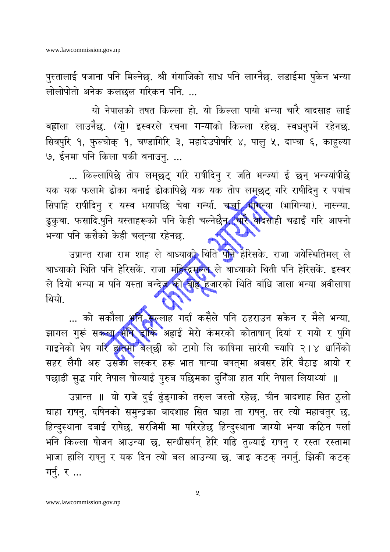पुस्तालाई षजाना पनि मिल्नेछ. श्री गंगाजिको साध पनि लाग्नैछ. लडाईमा पुकेन भन्या लोलोपोतो अनेक कलछल गरिकन पनि. ...

यो नेपालको तषत किल्ला हो. यो किल्ला पायो भन्या चारै बादसाह लाई वहाला लाउनैछ. (यो) इस्वरले रचना गऱ्याको किल्ला रहेछ. स्वधनुपर्ने रहेनछ. सिवपुरि १, फुल्चोक् १, चण्डागिरि ३, महादेउपोषरि ४, पालु ५, दाप्चा ६, काहुल्या ७, ईनमा पनि किला पकी बनाउनु. ...

... किल्लापिछे तोप लम्छुट् गरि राषीदिनु र जति भन्ज्यां ई छन् भन्ज्यांपीछे यक यक फलामे ढोका बनाई ढोकापिछे यक यक तोप लमुछट् गरि राषीदिनु र पपांच सिपाहि राषीदिनु र यस्व भयापछि चेवा गर्न्या. चर्चा भागेन्या (भागिन्या). नास्न्या. ढुकुवा. फसादि.षुनि यस्ताहरूको पनि केही चल्नेछैन**, चारै वा**दसोही चढाइँ गरि आफ्नो भन्या पनि कसैको केही चल्न्या रहेनछ.

उप्रान्त राजा राम शाह ले बाध्याको थिति पनि हेरिसके. राजा जयेस्थितिमल् ले बाध्याको थिति पनि हेरिसकें. राजा महिद्दिमल्ल ले बाध्याको थिती पनि हेरिसकें. इस्वर ले दियो भन्या म पनि यस्ता बन्देज को बाह्र हजारको थिति बांधि जाला भन्या अवीलाषा थियो

... को सकौला भन<mark>ि स</mark>ल्लाह गर्दा कसैले पनि ठहराउन सकेन र मैले भन्या. झागल गुरूं सकला भक्ति डॉकि अहाई मेरो कंमरको कोताषान् दियां र गयो र पुगि गाइनेको भेष गरि हातमा बैल्छी को टागो लि काषिमा सारंगी च्यापि २।४ धार्निको सहर लैगी अरु उसका लस्कर हरू भात षान्या बषत्मा अवसर हेरि बैठाइ आयो र पछाडी सुद्ध गरि नेपाल षोल्याई पुरुब पछिमका दुनिँजा हात गरि नेपाल लियाथ्यां ॥

उप्रान्त ॥ यो राजे दुई ढुंङ्गाको तरुल जस्तो रहेछ. चीन बादशाह सित ठुलो घाहा राषनु. दषिनको समुन्द्रका बादशाह सित घाहा ता राषनु. तर त्यो महाचतुर छ. हिन्दुस्थाना दबाई राषेछ. सरजिमी मा परिरहेछ हिन्दुस्थाना जाग्यो भन्या कठिन पर्ला भनि किल्ला षोजन आउन्या छ. सन्धीसर्पन् हेरि गढि तुल्याई राषनु र रस्ता रस्तामा भाजा हालि राष्नु र यक दिन त्यो बल आउन्या छ. जाइ कटक् नगर्नु. झिकी कटक् गर्नु. र ...

 $\mathbf{\mathsf{y}}$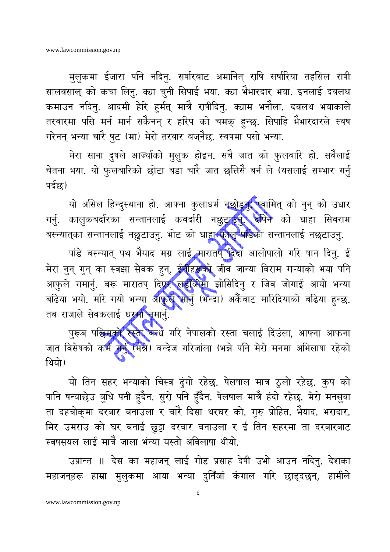मुलुकमा ईजारा पनि नदिनु. सर्षारबाट अमानित् राषि सर्षारिया तहसिल राषी सालवसाल् को कचा लिनु. क्या चुनी सिपाई भया. क्या भैभारदार भया. इनलाई दवलथ कमाउन नदिनु. आदमी हेरि हुर्मत् मात्रै राषीदिनु. क्याम भनौला. दवलथ भयाकाले तरवारमा पसि मर्न मार्न सकैनन् र हरिप को चमक् हुन्छु. सिपाहि भैभारदारले स्वष गरेनन् भन्या चारै षुट (मा) मेरो तरवार बज्नैछ. स्वषमा पसो भन्या.

मेरा साना दुषले आज्यीको मुलुक होइन. सबै जात को फुलबारि हो. सबैलाई चेतना भया. यो फुलबारिको छोटा बडा चारै जात छत्तिसै बर्न ले (यसलाई सम्भार गर्नु पर्दछ)

यो असिल हिन्दुस्थाना हो. आफ्ना कुलाधर्म नछोडून**, स्वा**मित् को नुन् को उधार गर्नु. कालुकबर्दारका सन्तानलाई कवर्दारी नछुटाउन**े दे**षिने को घाहा सिवराम बस्न्यात्का सन्तानलाई नछुटाउनु. भोट को घाहारकोलु पांडेका सन्तानलाई नछटाउनु.

पांडे बस्न्यात् पंथ भैयाद मग्र लाई मारातप् दिदा आलोपालो गरि षान दिनु. ई मेरा नुन् गुन् का स्वझा सेवक हुन्. ई**र्नीहरूको जीव जान्या बिराम गऱ्याको भया** पनि आफुले गमार्नु. बरू मारातप् दिएर लडौँ<del>जी</del>मा झोसिदिनु र जिव जोगाई आयो भन्या बढिया भयो. मरि गयो भन्या आफुले सोर्नु (भन्दा) अर्केबाट मारिदियाको बढिया हुन्छ. तब राजाले सेवकलाई घरमा नमार्नु.

पुरूब पछिमको रस्ता बन्ध गरि नेपालको रस्ता चलाई दिंउला, आफ्ना आफना जात विसेषको कर्म गर्नु (भन्ने) बन्देज गरिजांला (भन्ने पनि मेरो मनमा अभिलाषा रहेको थियो।

यो तिन सहर भन्याको चिस्व ढुंगो रहेछ. षेलषाल मात्र ठुलो रहेछ. कुप को पानि षन्याछेउ बुधि पनी हंदैन. सुरो पनि हुँदैन. षेलषाल मात्रै हंदो रहेछ. मेरो मनसुवा ता दहचोक्मा दरबार बनाउला र चारै दिसा थरघर को. गुरु प्रोहित. भैयाद. भरादार. मिर उमराउ को घर बनाई छुट्टा दरबार बनाउला र ई तिन सहरमा ता दरबारबाट स्वषसयल लाई मात्रै जाला भंन्या यस्तो अविलाषा थीयो.

उप्रान्त ॥ देस का महाजन् लाई गोड प्रसाह देषी उभो आउन नदिनु. देशका महाजन्हरू हाम्रा मुलुकमा आया भन्या दुनिँजां कंगाल गरि छाड्दछन्. हामीले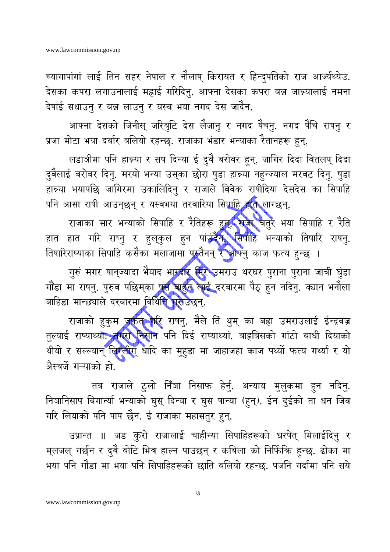च्यागापांगां लाई तिन सहर नेपाल र नौलाष् किरायत र हिन्दुपतिको राज आर्ज्यथ्येउ. देसका कपरा लगाउनालाई महाई गरिदिनु. आफ्ना देसका कपरा बन्न जान्न्यालाई नमना देषाई सधाउनु र बन्न लाउनु र यस्व भया नगद देस जादैन.

आफ्ना देसको जिनीस् जरिबुटि देस लैजानु र नगद षैचनु. नगद षैचि राषनु र प्रजा मोटा भया दर्बार बलियो रहन्छ. राजाका भंडार भन्याका रैतानहरू हुन्.

लडाजीमा पनि हान्न्या र सष दिन्या ई दुवै बरोवर हुन्. जागिर दिदा वितलप् दिदा दुवैलाई बरोबर दिनु. मरयो भन्या उस्का छोरा षुडा हान्न्या नहुन्ज्याल मरवट दिनु. षुडा हान्न्या भयापछि जागिरमा उकालिदिनु र राजाले विवेक राषीदिया देसदेस का सिपाहि पनि आसा राषी आउन्छन् र यस्वभया तरवारिया सिपाहि होते लाग्छन्.

राजाका सार भन्याको सिपाहि र रैतिहरू हुन्<mark>स राजा च</mark>तुर भया सिपाहि र रैति हात हात गरि राष्नु र हुलुकुल हुन पांउदेन सिपाहि भन्याको तिषारि राषनु. तिषारिराष्याका सिपाहि कसैका मलाजामा पुरुतैनन् र औफ्नु काज फत्य हुन्छ ।

गुरुं मगर पान्ज्यादा भैयाद भारदीर मिर उमराउ थरघर पुराना पुराना जाची घुंडा गौंडा मा राषनु. पुरुव पछिम्का पू<del>र</del> बाहुन लाई दरबारमा पैठ् हुन नदिनु. क्यान भनौला बाहिडा मान्छ्याले दरबारमा विथि**ति परे**उछन्.

राजाको हुकुम जर्कत गरि राषनु. मैले ति थुम् का बहा उमराउलाई ईन्द्रवज्र तुल्याई राष्याथ्यों, नगरा निसान पनि दिई राष्याथ्यां. बाहबिसको गांठो बाधी दियाको थीयो र सल्ल्यान् लिग्लीग् धादि का मुहुडा मा जाहाजहा काज पर्थ्यो फत्य गर्थ्या र यो अैस्वर्जे गऱ्याको हो.

तब राजाले ठुलो निँँञा निसाफ हेर्नु. अन्याय मुलुकमा हुन नदिनु. निञानिसाप बिगान्या भन्याको घुस् दिन्या र घुस षान्या (हुन्). ईन दुईको ता धन जिव गरि लियाको पनि पाप छैन. ई राजाका महासतुर हुन्.

उप्रान्त ॥ जड कुरो राजालाई चाहीन्या सिपाहिहरूको घरषेत् मिलाईदिनु र म्लजल् गर्छन र दुवै बोटि भित्र हाल्न पाउछन् र कबिला को निर्फिकि हुन्छ. ढोका मा भया पनि गौडा मा भया पनि सिपाहिहरूको छाति बलियो रहन्छ. पजनि गर्दामा पनि सये

 $\overline{9}$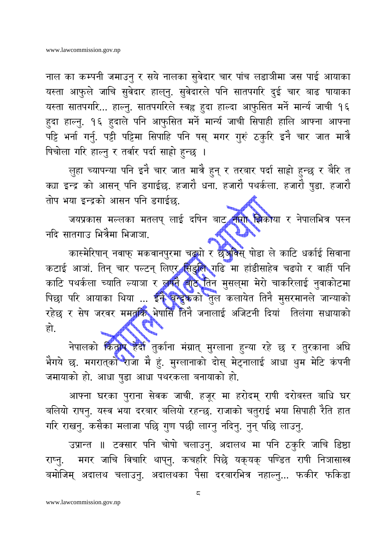नाल का कम्पनी जमाउनु र सये नालका सुवेदार चार पांच लडाजीमा जस पाई आयाका यस्ता आफुले जाचि सुवेदार हाल्नु. सुवेदारले पनि सातपगरि दुई चार बाढ षायाका यस्ता सातपगरि... हाल्नु. सातपगरिले स्वह्र हुदा हाल्दा आफुसित मर्ने मार्न्य जाची १६ हुदा हाल्नु. १६ हुदाले पनि आफुसित मर्ने मार्न्य जाची सिपाही हालि आफ्ना आफ्ना पट्टि भर्ना गर्नु. पट्टी पट्टिमा सिपाहि पनि षस् मगर गुरुं ठकुरि इनै चार जात मात्रै षिचोला गरि हाल्नु र तर्वार पर्दा साहो हुन्छ ।

ल़ुहा च्यापन्या पनि इनै चार जात मात्रै हुन् र तरबार पर्दा साहो हुन्छ र बैरि त क्या इन्द्र को आसन् पनि डगाईछ. हजारौ धना. हजारौ पथर्कला. हजारौ षुडा. हजारौ तोप भया इन्द्रको आसन पनि डगाईछ.

जयप्रकास मल्लका मतलप् लाई दषिन बाट नारो झिकाया र नेपालभित्र पस्न नदि सातगाउ भित्रैमा भिजाञा

कास्मेरिषान् नवाफ् मकवानपुरमा चढ्यो र छुअविस् षोडा ले काटि धर्काई सिवाना कटाई आजां. तिन् चार पल्टन् लिएर सिंडुलि गढि मा हांडीसाहेव चढ्यो र वाहीं पनि काटि पथर्कला च्याति ल्याञा र लगते बाटे तिन मुसल्**मा मेरो चाकरिलाई नुवाकोटमा** पिछा परि आयाका थिया ... ईने बन्दुकको तुल कलायेत तिनै मुसरमानले जान्याको रहेछ र सेष जरवर ममतकि भेषासिँ तिनै जनालाई अजिटनी दियां तिलंगा सधायाको हो.

नेपालको किंताप हैदी तुर्काना मंग्रात् मुग्लाना हुन्या रहे छ र तुरकाना अघि भैगये छ. मगरात्को राजा मै हूं. मुग्लानाको दोस् मेट्नालाई आधा थुम मेटि कंपनी जमायाको हो. आधा षुडा आधा पथरकला बनायाको हो.

आफ्ना घरका पुराना सेवक जाची. हजूर मा हरोदम् राषी दरोबस्त बाधि घर बलियो राषनु. यस्व भया दरबार बलियो रहन्छ. राजाको चतुराई भया सिपाही रैति हात गरि राखनु. कसैका मलाजा पछि गुण पछी लाग्नु नदिनु. नुन् पछि लाउनु.

उप्रान्त ॥ टक्सार पनि चोषो चलाउनु. अदालथ मा पनि ठकुरि जाचि डिष्ठा मगर जाचि विचारि थाप्नु. कचहरि पिछे यक्यक् पण्डित राषी निञासास्त्र राष्न. बमोजिम् अदालथ चलाउनु. अदालथका पैसा दरबारभित्र नहाल्नु... फकीर फकिडा